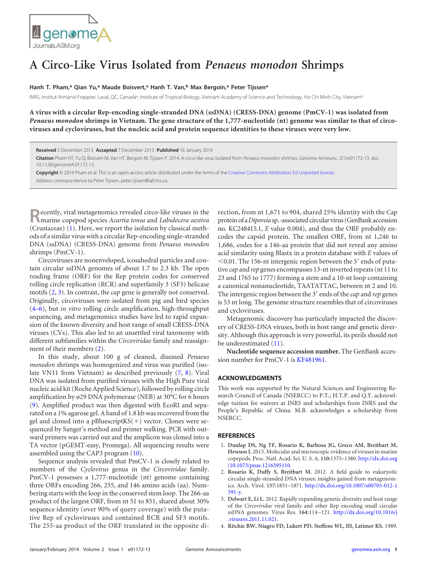

## **A Circo-Like Virus Isolated from** *Penaeus monodon* **Shrimps**

## **Hanh T. Pham,a Qian Yu,a Maude Boisvert,a Hanh T. Van,b Max Bergoin,a Peter Tijssena**

INRS, Institut Armand-Frappier, Laval, QC, Canada<sup>a</sup>; Institute of Tropical Biology, Vietnam Academy of Science and Technology, Ho Chi Minh City, Vietnam<sup>b</sup>

**A virus with a circular Rep-encoding single-stranded DNA (ssDNA) (CRESS-DNA) genome (PmCV-1) was isolated from** *Penaeus monodon* **shrimps in Vietnam. The gene structure of the 1,777-nucleotide (nt) genome was similar to that of circoviruses and cycloviruses, but the nucleic acid and protein sequence identities to these viruses were very low.**

**Received** 5 December 2013 **Accepted** 7 December 2013 **Published** 16 January 2014

**Citation** Pham HT, Yu Q, Boisvert M, Van HT, Bergoin M, Tijssen P. 2014. A circo-like virus isolated from *Penaeus monodon* shrimps. Genome Announc. 2(1):e01172-13. doi: 10.1128/genomeA.01172-13.

**Copyright** © 2014 Pham et al. This is an open-access article distributed under the terms of the [Creative Commons Attribution 3.0 Unported license.](http://creativecommons.org/licenses/by/3.0/) Address correspondence to Peter Tijssen, peter.tijssen@iaf.inrs.ca.

**Recently, viral metagenomics revealed circo-like viruses in the marine copepod species** *Acartia tonsa* **and** *Labidocera aestiva* (Crustaceae) [\(1\)](#page-0-0). Here, we report the isolation by classical methods of a similar virus with a circular Rep-encoding single-stranded DNA (ssDNA) (CRESS-DNA) genome from *Penaeus monodon* shrimps (PmCV-1).

Circoviruses are nonenveloped, icosahedral particles and contain circular ssDNA genomes of about 1.7 to 2.3 kb. The open reading frame (ORF) for the Rep protein codes for conserved rolling circle replication (RCR) and superfamily 3 (SF3) helicase motifs [\(2,](#page-0-1) [3\)](#page-0-2). In contrast, the *cap* gene is generally not conserved. Originally, circoviruses were isolated from pig and bird species [\(4](#page-0-3)[–](#page-1-0)[6\)](#page-1-1), but *in vitro* rolling circle amplification, high-throughput sequencing, and metagenomics studies have led to rapid expansion of the known diversity and host range of small CRESS-DNA viruses (CVs). This also led to an unsettled viral taxonomy with different subfamilies within the *Circoviridae* family and reassignment of their members [\(2\)](#page-0-1).

In this study, about 100 g of cleaned, diseased *Penaeus monodon* shrimps was homogenized and virus was purified (isolate VN11 from Vietnam) as described previously [\(7,](#page-1-2) [8\)](#page-1-3). Viral DNA was isolated from purified viruses with the High Pure viral nucleic acid kit (Roche Applied Science), followed by rolling circle amplification by ø29 DNA polymerase (NEB) at 30°C for 6 hours [\(9\)](#page-1-4). Amplified product was then digested with EcoRI and separated on a 1% agarose gel. A band of 1.8 kb was recovered from the gel and cloned into a pBluescriptKS(-) vector. Clones were sequenced by Sanger's method and primer walking. PCR with outward primers was carried out and the amplicon was cloned into a TA vector (pGEMT-easy, Promega). All sequencing results were assembled using the CAP3 program [\(10\)](#page-1-5).

Sequence analysis revealed that PmCV-1 is closely related to members of the *Cyclovirus* genus in the *Circoviridae* family. PmCV-1 possesses a 1,777-nucleotide (nt) genome containing three ORFs encoding 266, 255, and 146 amino acids (aa). Numbering starts with the loop in the conserved stem loop. The 266-aa product of the largest ORF, from nt 51 to 851, shared about 30% sequence identity (over 90% of query coverage) with the putative Rep of cycloviruses and contained RCR and SF3 motifs. The 255-aa product of the ORF translated in the opposite direction, from nt 1,671 to 904, shared 25% identity with the Cap protein of a*Diporeia* sp.-associated circular virus (GenBank accession no. KC248415.1, *E* value 0.004), and thus the ORF probably encodes the capsid protein. The smallest ORF, from nt 1,246 to 1,686, codes for a 146-aa protein that did not reveal any amino acid similarity using Blastx in a protein database with *E* values of  $0.01$ . The 156-nt intergenic region between the 5' ends of putative *cap* and *rep* genes encompasses 13-nt inverted repeats (nt 11 to 23 and 1765 to 1777) forming a stem and a 10-nt loop containing a canonical nonanucleotide, TAATATTAC, between nt 2 and 10. The intergenic region between the 3' ends of the *cap* and *rep* genes is 53 nt long. The genome structure resembles that of circoviruses and cycloviruses.

Metagenomic discovery has particularly impacted the discovery of CRESS-DNA viruses, both in host range and genetic diversity. Although this approach is very powerful, its perils should not be underestimated [\(11\)](#page-1-6).

**Nucleotide sequence accession number.** The GenBank accession number for PmCV-1 is [KF481961.](http://www.ncbi.nlm.nih.gov/nuccore?term=KF481961)

## **ACKNOWLEDGMENTS**

This work was supported by the Natural Sciences and Engineering Research Council of Canada (NSERCC) to P.T.; H.T.P. and Q.Y. acknowledge tuition fee waivers at INRS and scholarships from INRS and the People's Republic of China. M.B. acknowledges a scholarship from NSERCC.

## <span id="page-0-0"></span>**REFERENCES**

- 1. **Dunlap DS, Ng TF, Rosario K, Barbosa JG, Greco AM, Breitbart M, Hewson I.** 2013. Molecular and microscopic evidence of viruses in marine copepods. Proc. Natl. Acad. Sci. U. S. A. **110:**1375–1380. [http://dx.doi.org](http://dx.doi.org/10.1073/pnas.1216595110) [/10.1073/pnas.1216595110.](http://dx.doi.org/10.1073/pnas.1216595110)
- <span id="page-0-1"></span>2. **Rosario K, Duffy S, Breitbart M.** 2012. A field guide to eukaryotic circular single-stranded DNA viruses: insights gained from metagenomics. Arch. Virol. **157:**1851–1871. [http://dx.doi.org/10.1007/s00705-012-1](http://dx.doi.org/10.1007/s00705-012-1391-y) [391-y.](http://dx.doi.org/10.1007/s00705-012-1391-y)
- <span id="page-0-2"></span>3. **Delwart E, Li L.** 2012. Rapidly expanding genetic diversity and host range of the *Circoviridae* viral family and other Rep encoding small circular ssDNA genomes. Virus Res. **164:**114 –121. [http://dx.doi.org/10.1016/j](http://dx.doi.org/10.1016/j.virusres.2011.11.021) [.virusres.2011.11.021.](http://dx.doi.org/10.1016/j.virusres.2011.11.021)
- <span id="page-0-3"></span>4. **Ritchie BW, Niagro FD, Lukert PD, Steffens WL, III, Latimer KS.** 1989.